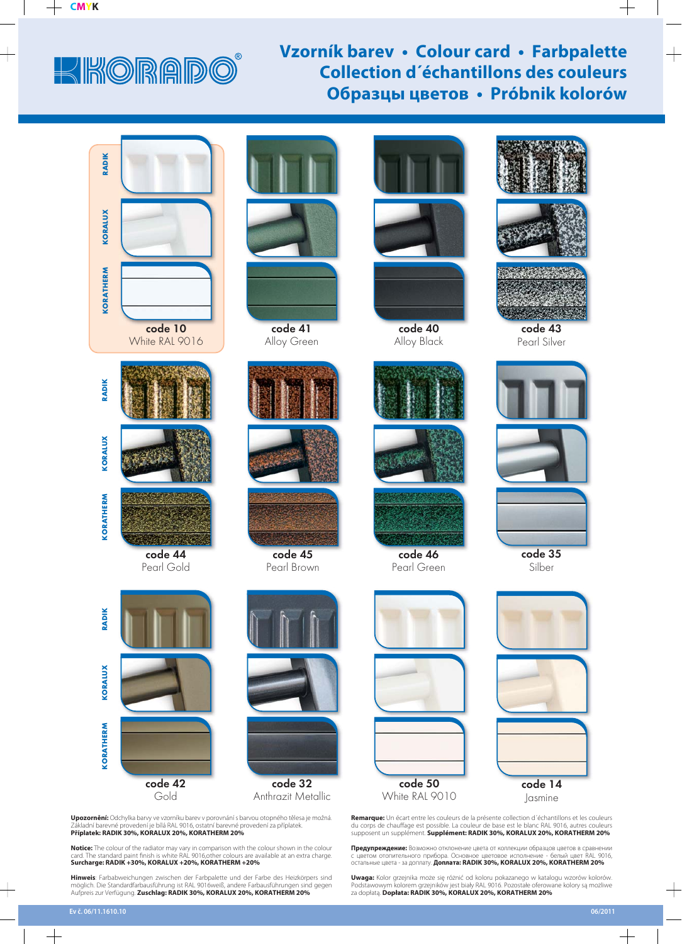## KIKORADC

## **Vzorník barev • Colour card • Farbpalette Collection d´échantillons des couleurs Образцы цветов • Próbnik kolorów**



**Upozornění:** Odchylka barvy ve vzorníku barev v porovnání s barvou otopného tělesa je možná.<br>Základní barevné provedení je bílá RAL 9016, ostatní barevné provedení za příplatek. **Příplatek: RADIK 30%, KORALUX 20%, KORATHERM 20%** 

Notice: The colour of the radiator may vary in comparison with the colour shown in the colour<br>card. The standard paint finish is white RAL 9016,other colours are available at an extra charge.<br>Surcharge: RADIK +30%, KORALUX

**Hinweis**: Farbabweichungen zwischen der Farbpalette und der Farbe des Heizkörpers sind möglich. Die Standardfarbausführung ist RAL 9016weiß, andere Farbausführungen sind gegen Aufpreis zur Verfügung. **Zuschlag: RADIK 30%, KORALUX 20%, KORATHERM 20%**







code 40 Alloy Black







Pearl Green



 $\begin{array}{c} \begin{array}{c} \begin{array}{c} \begin{array}{c} \end{array} \end{array} \end{array} \end{array}$ 





code 43 Pearl Silver







code 35 Silber



code 50 White RAL 9010



code 14 Jasmine

**Remarque:** Un écart entre les couleurs de la présente collection d'échantillons et les couleurs<br>du corps de chauffage est possible. La couleur de base est le blanc RAL 9016, autres couleurs<br>supposent un supplément. **Suppl** 

**Предупреждение:** Возможно отклонение цвета от коллекции образцов цветов в сравнении<br>с цветом отопительного прибора. Основное цветовое исполнение - белый цвет RAL 9016,<br>остальные цвета - за доплату. **Доплата: RADIK 30%, K** 

**Uwaga:** Kolor grzejnika może się różnić od koloru pokazanego w katalogu wzorów kolorów.<br>Podstawowym kolorem grzejników jest biały RAL 9016. Pozostałe oferowane kolory są możliwe za dopłatą. **Dopłata: RADIK 30%, KORALUX 20%, KORATHERM 20%** 

 $+$ 

 $+$